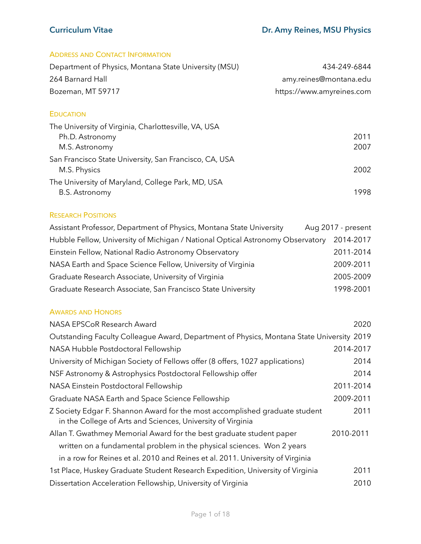## ADDRESS AND CONTACT INFORMATION

| Department of Physics, Montana State University (MSU) | 434-249-6844              |
|-------------------------------------------------------|---------------------------|
| 264 Barnard Hall                                      | amy.reines@montana.edu    |
| Bozeman, MT 59717                                     | https://www.amyreines.com |

## **EDUCATION**

| The University of Virginia, Charlottesville, VA, USA                   |      |
|------------------------------------------------------------------------|------|
| Ph.D. Astronomy                                                        | 2011 |
| M.S. Astronomy                                                         | 2007 |
| San Francisco State University, San Francisco, CA, USA<br>M.S. Physics | 2002 |
| The University of Maryland, College Park, MD, USA                      |      |
| <b>B.S. Astronomy</b>                                                  | 1998 |

### RESEARCH POSITIONS

| Assistant Professor, Department of Physics, Montana State University           | Aug 2017 - present |
|--------------------------------------------------------------------------------|--------------------|
| Hubble Fellow, University of Michigan / National Optical Astronomy Observatory | 2014-2017          |
| Einstein Fellow, National Radio Astronomy Observatory                          | 2011-2014          |
| NASA Earth and Space Science Fellow, University of Virginia                    | 2009-2011          |
| Graduate Research Associate, University of Virginia                            | 2005-2009          |
| Graduate Research Associate, San Francisco State University                    | 1998-2001          |

## AWARDS AND HONORS

| NASA EPSCoR Research Award                                                                                                                 | 2020      |
|--------------------------------------------------------------------------------------------------------------------------------------------|-----------|
| Outstanding Faculty Colleague Award, Department of Physics, Montana State University 2019                                                  |           |
| NASA Hubble Postdoctoral Fellowship                                                                                                        | 2014-2017 |
| University of Michigan Society of Fellows offer (8 offers, 1027 applications)                                                              | 2014      |
| NSF Astronomy & Astrophysics Postdoctoral Fellowship offer                                                                                 | 2014      |
| NASA Einstein Postdoctoral Fellowship                                                                                                      | 2011-2014 |
| Graduate NASA Earth and Space Science Fellowship                                                                                           | 2009-2011 |
| Z Society Edgar F. Shannon Award for the most accomplished graduate student<br>in the College of Arts and Sciences, University of Virginia | 2011      |
| Allan T. Gwathmey Memorial Award for the best graduate student paper                                                                       | 2010-2011 |
| written on a fundamental problem in the physical sciences. Won 2 years                                                                     |           |
| in a row for Reines et al. 2010 and Reines et al. 2011. University of Virginia                                                             |           |
| 1st Place, Huskey Graduate Student Research Expedition, University of Virginia                                                             | 2011      |
| Dissertation Acceleration Fellowship, University of Virginia                                                                               | 2010      |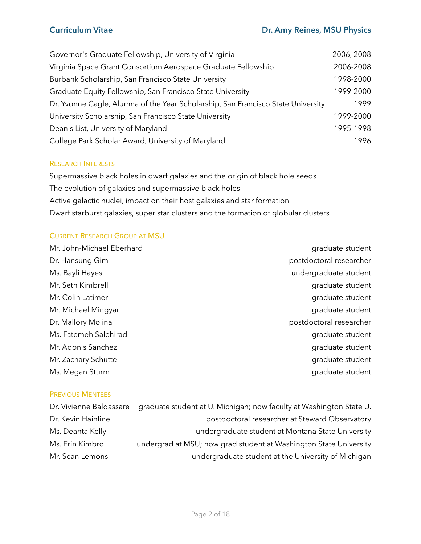| Governor's Graduate Fellowship, University of Virginia                           | 2006, 2008 |
|----------------------------------------------------------------------------------|------------|
| Virginia Space Grant Consortium Aerospace Graduate Fellowship                    | 2006-2008  |
| Burbank Scholarship, San Francisco State University                              | 1998-2000  |
| Graduate Equity Fellowship, San Francisco State University                       | 1999-2000  |
| Dr. Yvonne Cagle, Alumna of the Year Scholarship, San Francisco State University | 1999       |
| University Scholarship, San Francisco State University                           | 1999-2000  |
| Dean's List, University of Maryland                                              | 1995-1998  |
| College Park Scholar Award, University of Maryland                               | 1996       |

### RESEARCH INTERESTS

Supermassive black holes in dwarf galaxies and the origin of black hole seeds The evolution of galaxies and supermassive black holes Active galactic nuclei, impact on their host galaxies and star formation Dwarf starburst galaxies, super star clusters and the formation of globular clusters

## CURRENT RESEARCH GROUP AT MSU

| Mr. John-Michael Eberhard | graduate student        |
|---------------------------|-------------------------|
| Dr. Hansung Gim           | postdoctoral researcher |
| Ms. Bayli Hayes           | undergraduate student   |
| Mr. Seth Kimbrell         | graduate student        |
| Mr. Colin Latimer         | graduate student        |
| Mr. Michael Mingyar       | graduate student        |
| Dr. Mallory Molina        | postdoctoral researcher |
| Ms. Fatemeh Salehirad     | graduate student        |
| Mr. Adonis Sanchez        | graduate student        |
| Mr. Zachary Schutte       | graduate student        |
| Ms. Megan Sturm           | graduate student        |
|                           |                         |

### PREVIOUS MENTEES

| Dr. Vivienne Baldassare | graduate student at U. Michigan; now faculty at Washington State U. |
|-------------------------|---------------------------------------------------------------------|
| Dr. Kevin Hainline      | postdoctoral researcher at Steward Observatory                      |
| Ms. Deanta Kelly        | undergraduate student at Montana State University                   |
| Ms. Erin Kimbro         | undergrad at MSU; now grad student at Washington State University   |
| Mr. Sean Lemons         | undergraduate student at the University of Michigan                 |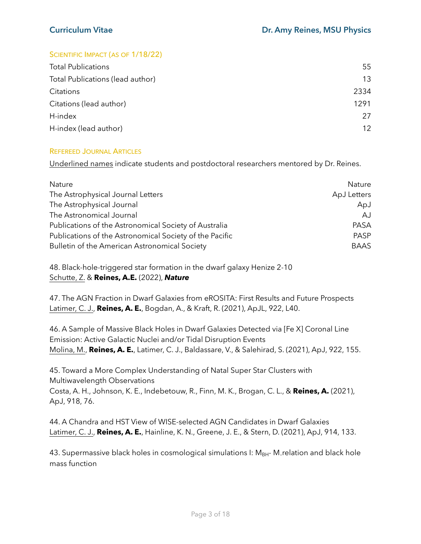## SCIENTIFIC IMPACT (AS OF 1/18/22)

| 55   |
|------|
| 13   |
| 2334 |
| 1291 |
| 27   |
| 12   |
|      |

## REFEREED JOURNAL ARTICLES

Underlined names indicate students and postdoctoral researchers mentored by Dr. Reines.

| Nature                                                  | <b>Nature</b> |
|---------------------------------------------------------|---------------|
| The Astrophysical Journal Letters                       | ApJ Letters   |
| The Astrophysical Journal                               | ApJ           |
| The Astronomical Journal                                | AJ.           |
| Publications of the Astronomical Society of Australia   | <b>PASA</b>   |
| Publications of the Astronomical Society of the Pacific | PASP          |
| Bulletin of the American Astronomical Society           | <b>BAAS</b>   |

48. Black-hole-triggered star formation in the dwarf galaxy Henize 2-10 Schutte, Z. & **Reines, A.E.** (2022), *Nature*

47. The AGN Fraction in Dwarf Galaxies from eROSITA: First Results and Future Prospects Latimer, C. J., **Reines, A. E.**, Bogdan, A., & Kraft, R. (2021), ApJL, 922, L40.

46. A Sample of Massive Black Holes in Dwarf Galaxies Detected via [Fe X] Coronal Line Emission: Active Galactic Nuclei and/or Tidal Disruption Events Molina, M., **Reines, A. E.**, Latimer, C. J., Baldassare, V., & Salehirad, S. (2021), ApJ, 922, 155.

45. Toward a More Complex Understanding of Natal Super Star Clusters with Multiwavelength Observations Costa, A. H., Johnson, K. E., Indebetouw, R., Finn, M. K., Brogan, C. L., & **Reines, A.** (2021), ApJ, 918, 76.

44. A Chandra and HST View of WISE-selected AGN Candidates in Dwarf Galaxies Latimer, C. J., **Reines, A. E.**, Hainline, K. N., Greene, J. E., & Stern, D. (2021), ApJ, 914, 133.

43. Supermassive black holes in cosmological simulations I:  $M_{BH}$ - M, relation and black hole mass function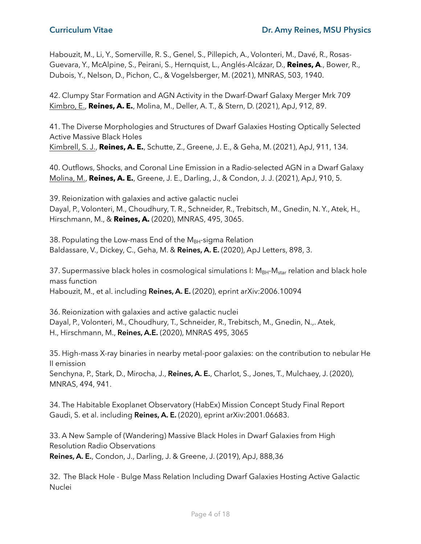Habouzit, M., Li, Y., Somerville, R. S., Genel, S., Pillepich, A., Volonteri, M., Davé, R., Rosas-Guevara, Y., McAlpine, S., Peirani, S., Hernquist, L., Anglés-Alcázar, D., **Reines, A**., Bower, R., Dubois, Y., Nelson, D., Pichon, C., & Vogelsberger, M. (2021), MNRAS, 503, 1940.

42. Clumpy Star Formation and AGN Activity in the Dwarf-Dwarf Galaxy Merger Mrk 709 Kimbro, E., **Reines, A. E.**, Molina, M., Deller, A. T., & Stern, D. (2021), ApJ, 912, 89.

41. The Diverse Morphologies and Structures of Dwarf Galaxies Hosting Optically Selected Active Massive Black Holes Kimbrell, S. J., **Reines, A. E.**, Schutte, Z., Greene, J. E., & Geha, M. (2021), ApJ, 911, 134.

40. Outflows, Shocks, and Coronal Line Emission in a Radio-selected AGN in a Dwarf Galaxy Molina, M., **Reines, A. E.**, Greene, J. E., Darling, J., & Condon, J. J. (2021), ApJ, 910, 5.

39. Reionization with galaxies and active galactic nuclei Dayal, P., Volonteri, M., Choudhury, T. R., Schneider, R., Trebitsch, M., Gnedin, N. Y., Atek, H., Hirschmann, M., & **Reines, A.** (2020), MNRAS, 495, 3065.

38. Populating the Low-mass End of the  $M_{BH}$ -sigma Relation Baldassare, V., Dickey, C., Geha, M. & **Reines, A. E.** (2020), ApJ Letters, 898, 3.

37. Supermassive black holes in cosmological simulations I:  $M_{BH}$ - $M_{star}$  relation and black hole mass function Habouzit, M., et al. including **Reines, A. E.** (2020), eprint arXiv:2006.10094

36. Reionization with galaxies and active galactic nuclei Dayal, P., Volonteri, M., Choudhury, T., Schneider, R., Trebitsch, M., Gnedin, N.,. Atek, H., Hirschmann, M., **Reines, A.E.** (2020), MNRAS 495, 3065

35. High-mass X-ray binaries in nearby metal-poor galaxies: on the contribution to nebular He II emission

Senchyna, P., Stark, D., Mirocha, J., **Reines, A. E.**, Charlot, S., Jones, T., Mulchaey, J. (2020), MNRAS, 494, 941.

34. The Habitable Exoplanet Observatory (HabEx) Mission Concept Study Final Report Gaudi, S. et al. including **Reines, A. E.** (2020), eprint arXiv:2001.06683.

33. A New Sample of (Wandering) Massive Black Holes in Dwarf Galaxies from High Resolution Radio Observations **Reines, A. E.**, Condon, J., Darling, J. & Greene, J. (2019), ApJ, 888,36

32. The Black Hole - Bulge Mass Relation Including Dwarf Galaxies Hosting Active Galactic Nuclei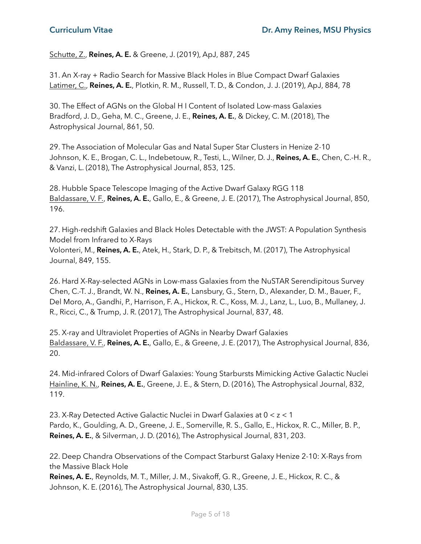Schutte, Z., **Reines, A. E.** & Greene, J. (2019), ApJ, 887, 245

31. An X-ray + Radio Search for Massive Black Holes in Blue Compact Dwarf Galaxies Latimer, C., **Reines, A. E.**, Plotkin, R. M., Russell, T. D., & Condon, J. J. (2019), ApJ, 884, 78

30. The Effect of AGNs on the Global H I Content of Isolated Low-mass Galaxies Bradford, J. D., Geha, M. C., Greene, J. E., **Reines, A. E.**, & Dickey, C. M. (2018), The Astrophysical Journal, 861, 50.

29. The Association of Molecular Gas and Natal Super Star Clusters in Henize 2-10 Johnson, K. E., Brogan, C. L., Indebetouw, R., Testi, L., Wilner, D. J., **Reines, A. E.**, Chen, C.-H. R., & Vanzi, L. (2018), The Astrophysical Journal, 853, 125.

28. Hubble Space Telescope Imaging of the Active Dwarf Galaxy RGG 118 Baldassare, V. F., **Reines, A. E.**, Gallo, E., & Greene, J. E. (2017), The Astrophysical Journal, 850, 196.

27. High-redshift Galaxies and Black Holes Detectable with the JWST: A Population Synthesis Model from Infrared to X-Rays Volonteri, M., **Reines, A. E.**, Atek, H., Stark, D. P., & Trebitsch, M. (2017), The Astrophysical Journal, 849, 155.

26. Hard X-Ray-selected AGNs in Low-mass Galaxies from the NuSTAR Serendipitous Survey Chen, C.-T. J., Brandt, W. N., **Reines, A. E.**, Lansbury, G., Stern, D., Alexander, D. M., Bauer, F., Del Moro, A., Gandhi, P., Harrison, F. A., Hickox, R. C., Koss, M. J., Lanz, L., Luo, B., Mullaney, J. R., Ricci, C., & Trump, J. R. (2017), The Astrophysical Journal, 837, 48.

25. X-ray and Ultraviolet Properties of AGNs in Nearby Dwarf Galaxies Baldassare, V. F., **Reines, A. E.**, Gallo, E., & Greene, J. E. (2017), The Astrophysical Journal, 836, 20.

24. Mid-infrared Colors of Dwarf Galaxies: Young Starbursts Mimicking Active Galactic Nuclei Hainline, K. N., **Reines, A. E.**, Greene, J. E., & Stern, D. (2016), The Astrophysical Journal, 832, 119.

23. X-Ray Detected Active Galactic Nuclei in Dwarf Galaxies at 0 < z < 1 Pardo, K., Goulding, A. D., Greene, J. E., Somerville, R. S., Gallo, E., Hickox, R. C., Miller, B. P., **Reines, A. E.**, & Silverman, J. D. (2016), The Astrophysical Journal, 831, 203.

22. Deep Chandra Observations of the Compact Starburst Galaxy Henize 2-10: X-Rays from the Massive Black Hole

**Reines, A. E.**, Reynolds, M. T., Miller, J. M., Sivakoff, G. R., Greene, J. E., Hickox, R. C., & Johnson, K. E. (2016), The Astrophysical Journal, 830, L35.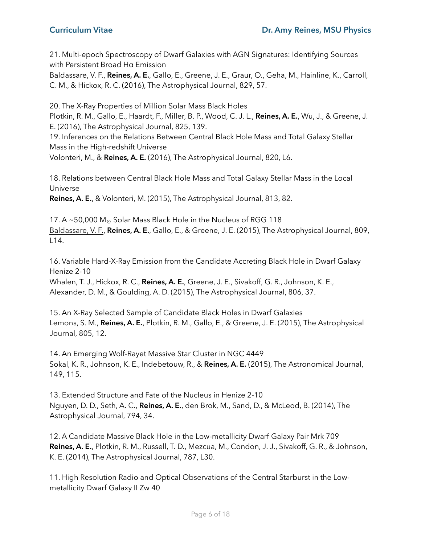21. Multi-epoch Spectroscopy of Dwarf Galaxies with AGN Signatures: Identifying Sources with Persistent Broad Hα Emission

Baldassare, V. F., **Reines, A. E.**, Gallo, E., Greene, J. E., Graur, O., Geha, M., Hainline, K., Carroll, C. M., & Hickox, R. C. (2016), The Astrophysical Journal, 829, 57.

20. The X-Ray Properties of Million Solar Mass Black Holes

Plotkin, R. M., Gallo, E., Haardt, F., Miller, B. P., Wood, C. J. L., **Reines, A. E.**, Wu, J., & Greene, J. E. (2016), The Astrophysical Journal, 825, 139.

19. Inferences on the Relations Between Central Black Hole Mass and Total Galaxy Stellar Mass in the High-redshift Universe

Volonteri, M., & **Reines, A. E.** (2016), The Astrophysical Journal, 820, L6.

18. Relations between Central Black Hole Mass and Total Galaxy Stellar Mass in the Local Universe

**Reines, A. E.**, & Volonteri, M. (2015), The Astrophysical Journal, 813, 82.

17. A ~50,000  $M_{\odot}$  Solar Mass Black Hole in the Nucleus of RGG 118 Baldassare, V. F., **Reines, A. E.**, Gallo, E., & Greene, J. E. (2015), The Astrophysical Journal, 809, L14.

16. Variable Hard-X-Ray Emission from the Candidate Accreting Black Hole in Dwarf Galaxy Henize 2-10

Whalen, T. J., Hickox, R. C., **Reines, A. E.**, Greene, J. E., Sivakoff, G. R., Johnson, K. E., Alexander, D. M., & Goulding, A. D. (2015), The Astrophysical Journal, 806, 37.

15. An X-Ray Selected Sample of Candidate Black Holes in Dwarf Galaxies Lemons, S. M., **Reines, A. E.**, Plotkin, R. M., Gallo, E., & Greene, J. E. (2015), The Astrophysical Journal, 805, 12.

14. An Emerging Wolf-Rayet Massive Star Cluster in NGC 4449 Sokal, K. R., Johnson, K. E., Indebetouw, R., & **Reines, A. E.** (2015), The Astronomical Journal, 149, 115.

13. Extended Structure and Fate of the Nucleus in Henize 2-10 Nguyen, D. D., Seth, A. C., **Reines, A. E.**, den Brok, M., Sand, D., & McLeod, B. (2014), The Astrophysical Journal, 794, 34.

12. A Candidate Massive Black Hole in the Low-metallicity Dwarf Galaxy Pair Mrk 709 **Reines, A. E.**, Plotkin, R. M., Russell, T. D., Mezcua, M., Condon, J. J., Sivakoff, G. R., & Johnson, K. E. (2014), The Astrophysical Journal, 787, L30.

11. High Resolution Radio and Optical Observations of the Central Starburst in the Lowmetallicity Dwarf Galaxy II Zw 40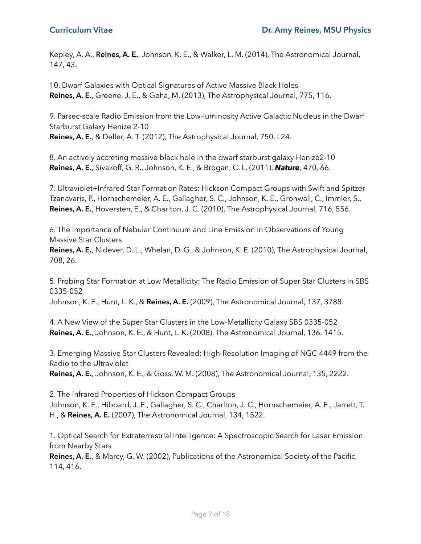Kepley, A. A., **Reines, A. E.**, Johnson, K. E., & Walker, L. M. (2014), The Astronomical Journal, 147, 43.

10. Dwarf Galaxies with Optical Signatures of Active Massive Black Holes **Reines, A. E.**, Greene, J. E., & Geha, M. (2013), The Astrophysical Journal, 775, 116.

9. Parsec-scale Radio Emission from the Low-luminosity Active Galactic Nucleus in the Dwarf Starburst Galaxy Henize 2-10 **Reines, A. E.**, & Deller, A. T. (2012), The Astrophysical Journal, 750, L24.

8. An actively accreting massive black hole in the dwarf starburst galaxy Henize2-10 **Reines, A. E.**, Sivakoff, G. R., Johnson, K. E., & Brogan, C. L. (2011), *Nature*, 470, 66.

7. Ultraviolet+Infrared Star Formation Rates: Hickson Compact Groups with Swift and Spitzer Tzanavaris, P., Hornschemeier, A. E., Gallagher, S. C., Johnson, K. E., Gronwall, C., Immler, S., **Reines, A. E.**, Hoversten, E., & Charlton, J. C. (2010), The Astrophysical Journal, 716, 556.

6. The Importance of Nebular Continuum and Line Emission in Observations of Young Massive Star Clusters

**Reines, A. E.**, Nidever, D. L., Whelan, D. G., & Johnson, K. E. (2010), The Astrophysical Journal, 708, 26.

5. Probing Star Formation at Low Metallicity: The Radio Emission of Super Star Clusters in SBS 0335-052

Johnson, K. E., Hunt, L. K., & **Reines, A. E.** (2009), The Astronomical Journal, 137, 3788.

4. A New View of the Super Star Clusters in the Low-Metallicity Galaxy SBS 0335-052 **Reines, A. E.**, Johnson, K. E., & Hunt, L. K. (2008), The Astronomical Journal, 136, 1415.

3. Emerging Massive Star Clusters Revealed: High-Resolution Imaging of NGC 4449 from the Radio to the Ultraviolet

**Reines, A. E.**, Johnson, K. E., & Goss, W. M. (2008), The Astronomical Journal, 135, 2222.

2. The Infrared Properties of Hickson Compact Groups Johnson, K. E., Hibbard, J. E., Gallagher, S. C., Charlton, J. C., Hornschemeier, A. E., Jarrett, T. H., & **Reines, A. E.** (2007), The Astronomical Journal, 134, 1522.

1. Optical Search for Extraterrestrial Intelligence: A Spectroscopic Search for Laser Emission from Nearby Stars

**Reines, A. E.**, & Marcy, G. W. (2002), Publications of the Astronomical Society of the Pacific, 114, 416.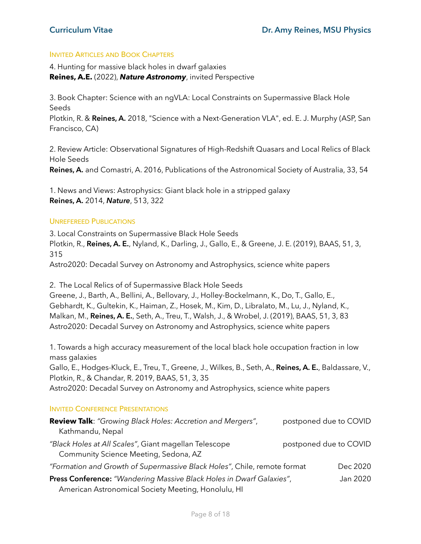## INVITED ARTICLES AND BOOK CHAPTERS

4. Hunting for massive black holes in dwarf galaxies **Reines, A.E.** (2022), *Nature Astronomy*, invited Perspective

3. Book Chapter: Science with an ngVLA: Local Constraints on Supermassive Black Hole Seeds

Plotkin, R. & **Reines, A.** 2018, "Science with a Next-Generation VLA", ed. E. J. Murphy (ASP, San Francisco, CA)

2. Review Article: Observational Signatures of High-Redshift Quasars and Local Relics of Black Hole Seeds **Reines, A.** and Comastri, A. 2016, Publications of the Astronomical Society of Australia, 33, 54

1. News and Views: Astrophysics: Giant black hole in a stripped galaxy **Reines, A.** 2014, *Nature*, 513, 322

### UNREFEREED PUBLICATIONS

3. Local Constraints on Supermassive Black Hole Seeds Plotkin, R., **Reines, A. E.**, Nyland, K., Darling, J., Gallo, E., & Greene, J. E. (2019), BAAS, 51, 3, 315 Astro2020: Decadal Survey on Astronomy and Astrophysics, science white papers

2. The Local Relics of of Supermassive Black Hole Seeds

Greene, J., Barth, A., Bellini, A., Bellovary, J., Holley-Bockelmann, K., Do, T., Gallo, E., Gebhardt, K., Gultekin, K., Haiman, Z., Hosek, M., Kim, D., Libralato, M., Lu, J., Nyland, K., Malkan, M., **Reines, A. E.**, Seth, A., Treu, T., Walsh, J., & Wrobel, J. (2019), BAAS, 51, 3, 83 Astro2020: Decadal Survey on Astronomy and Astrophysics, science white papers

1. Towards a high accuracy measurement of the local black hole occupation fraction in low mass galaxies

Gallo, E., Hodges-Kluck, E., Treu, T., Greene, J., Wilkes, B., Seth, A., **Reines, A. E.**, Baldassare, V., Plotkin, R., & Chandar, R. 2019, BAAS, 51, 3, 35

Astro2020: Decadal Survey on Astronomy and Astrophysics, science white papers

### INVITED CONFERENCE PRESENTATIONS

| <b>Review Talk:</b> "Growing Black Holes: Accretion and Mergers",                              | postponed due to COVID |          |
|------------------------------------------------------------------------------------------------|------------------------|----------|
| Kathmandu, Nepal                                                                               |                        |          |
| "Black Holes at All Scales", Giant magellan Telescope<br>Community Science Meeting, Sedona, AZ | postponed due to COVID |          |
| "Formation and Growth of Supermassive Black Holes", Chile, remote format                       |                        | Dec 2020 |
| Press Conference: "Wandering Massive Black Holes in Dwarf Galaxies",                           |                        | Jan 2020 |
| American Astronomical Society Meeting, Honolulu, HI                                            |                        |          |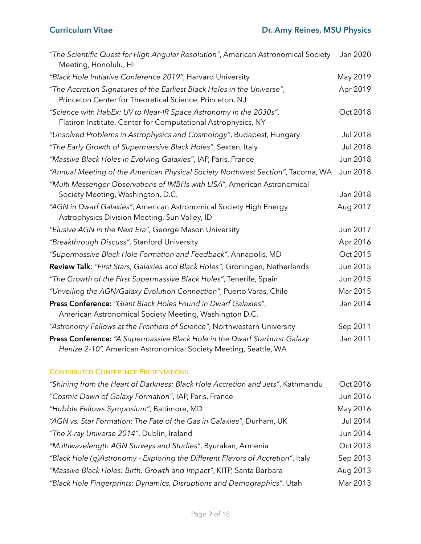| "The Scientific Quest for High Angular Resolution", American Astronomical Society<br>Meeting, Honolulu, HI                                     | Jan 2020        |
|------------------------------------------------------------------------------------------------------------------------------------------------|-----------------|
| "Black Hole Initiative Conference 2019", Harvard University                                                                                    | May 2019        |
| "The Accretion Signatures of the Earliest Black Holes in the Universe",<br>Princeton Center for Theoretical Science, Princeton, NJ             | Apr 2019        |
| "Science with HabEx: UV to Near-IR Space Astronomy in the 2030s",<br>Flatiron Institute, Center for Computational Astrophysics, NY             | Oct 2018        |
| "Unsolved Problems in Astrophysics and Cosmology", Budapest, Hungary                                                                           | <b>Jul 2018</b> |
| "The Early Growth of Supermassive Black Holes", Sexten, Italy                                                                                  | <b>Jul 2018</b> |
| "Massive Black Holes in Evolving Galaxies", IAP, Paris, France                                                                                 | Jun 2018        |
| "Annual Meeting of the American Physical Society Northwest Section", Tacoma, WA                                                                | Jun 2018        |
| "Multi Messenger Observations of IMBHs with LISA", American Astronomical<br>Society Meeting, Washington, D.C.                                  | Jan 2018        |
| "AGN in Dwarf Galaxies", American Astronomical Society High Energy<br>Astrophysics Division Meeting, Sun Valley, ID                            | Aug 2017        |
| "Elusive AGN in the Next Era", George Mason University                                                                                         | Jun 2017        |
| "Breakthrough Discuss", Stanford University                                                                                                    | Apr 2016        |
| "Supermassive Black Hole Formation and Feedback", Annapolis, MD                                                                                | Oct 2015        |
| Review Talk: "First Stars, Galaxies and Black Holes", Groningen, Netherlands                                                                   | Jun 2015        |
| "The Growth of the First Supermassive Black Holes", Tenerife, Spain                                                                            | Jun 2015        |
| "Unveiling the AGN/Galaxy Evolution Connection", Puerto Varas, Chile                                                                           | Mar 2015        |
| Press Conference: "Giant Black Holes Found in Dwarf Galaxies",<br>American Astronomical Society Meeting, Washington D.C.                       | Jan 2014        |
| "Astronomy Fellows at the Frontiers of Science", Northwestern University                                                                       | Sep 2011        |
| Press Conference: "A Supermassive Black Hole in the Dwarf Starburst Galaxy<br>Henize 2-10", American Astronomical Society Meeting, Seattle, WA | Jan 2011        |

# CONTRIBUTED CONFERENCE PRESENTATIONS

| "Shining from the Heart of Darkness: Black Hole Accretion and Jets", Kathmandu  | Oct 2016 |
|---------------------------------------------------------------------------------|----------|
| "Cosmic Dawn of Galaxy Formation", IAP, Paris, France                           | Jun 2016 |
| "Hubble Fellows Symposium", Baltimore, MD                                       | May 2016 |
| "AGN vs. Star Formation: The Fate of the Gas in Galaxies", Durham, UK           | Jul 2014 |
| "The X-ray Universe 2014", Dublin, Ireland                                      | Jun 2014 |
| "Multiwavelength AGN Surveys and Studies", Byurakan, Armenia                    | Oct 2013 |
| "Black Hole (g)Astronomy - Exploring the Different Flavors of Accretion", Italy | Sep 2013 |
| "Massive Black Holes: Birth, Growth and Impact", KITP, Santa Barbara            | Aug 2013 |
| "Black Hole Fingerprints: Dynamics, Disruptions and Demographics", Utah         | Mar 2013 |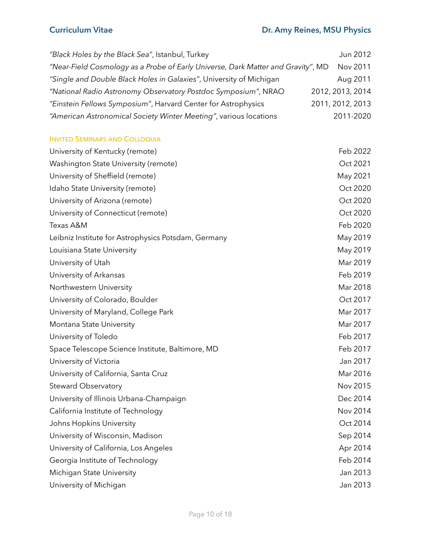| "Black Holes by the Black Sea", Istanbul, Turkey                                 | Jun 2012         |
|----------------------------------------------------------------------------------|------------------|
| "Near-Field Cosmology as a Probe of Early Universe, Dark Matter and Gravity", MD | Nov 2011         |
| "Single and Double Black Holes in Galaxies", University of Michigan              | Aug 2011         |
| "National Radio Astronomy Observatory Postdoc Symposium", NRAO                   | 2012, 2013, 2014 |
| "Einstein Fellows Symposium", Harvard Center for Astrophysics                    | 2011, 2012, 2013 |
| "American Astronomical Society Winter Meeting", various locations                | 2011-2020        |
| <b>INVITED SEMINARS AND COLLOQUIA</b>                                            |                  |
| University of Kentucky (remote)                                                  | Feb 2022         |
| Washington State University (remote)                                             | Oct 2021         |
| University of Sheffield (remote)                                                 | May 2021         |
| Idaho State University (remote)                                                  | Oct 2020         |
| University of Arizona (remote)                                                   | Oct 2020         |
| University of Connecticut (remote)                                               | Oct 2020         |
| Texas A&M                                                                        | Feb 2020         |
| Leibniz Institute for Astrophysics Potsdam, Germany                              | May 2019         |
| Louisiana State University                                                       | May 2019         |
| University of Utah                                                               | Mar 2019         |
| University of Arkansas                                                           | Feb 2019         |
| Northwestern University                                                          | Mar 2018         |
| University of Colorado, Boulder                                                  | Oct 2017         |
| University of Maryland, College Park                                             | Mar 2017         |
| Montana State University                                                         | Mar 2017         |
| University of Toledo                                                             | Feb 2017         |
| Space Telescope Science Institute, Baltimore, MD                                 | Feb 2017         |
| University of Victoria                                                           | Jan 2017         |
| University of California, Santa Cruz                                             | Mar 2016         |
| <b>Steward Observatory</b>                                                       | Nov 2015         |
| University of Illinois Urbana-Champaign                                          | Dec 2014         |
| California Institute of Technology                                               | Nov 2014         |
| Johns Hopkins University                                                         | Oct 2014         |
| University of Wisconsin, Madison                                                 | Sep 2014         |
| University of California, Los Angeles                                            | Apr 2014         |
| Georgia Institute of Technology                                                  | Feb 2014         |
| Michigan State University                                                        | Jan 2013         |
| University of Michigan                                                           | Jan 2013         |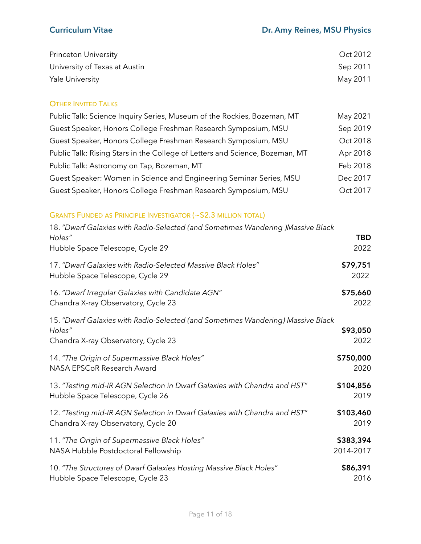| Princeton University          | Oct 2012 |
|-------------------------------|----------|
| University of Texas at Austin | Sep 2011 |
| <b>Yale University</b>        | May 2011 |

## **OTHER INVITED TALKS**

| Public Talk: Science Inquiry Series, Museum of the Rockies, Bozeman, MT      | May 2021 |
|------------------------------------------------------------------------------|----------|
| Guest Speaker, Honors College Freshman Research Symposium, MSU               | Sep 2019 |
| Guest Speaker, Honors College Freshman Research Symposium, MSU               | Oct 2018 |
| Public Talk: Rising Stars in the College of Letters and Science, Bozeman, MT | Apr 2018 |
| Public Talk: Astronomy on Tap, Bozeman, MT                                   | Feb 2018 |
| Guest Speaker: Women in Science and Engineering Seminar Series, MSU          | Dec 2017 |
| Guest Speaker, Honors College Freshman Research Symposium, MSU               | Oct 2017 |

## GRANTS FUNDED AS PRINCIPLE INVESTIGATOR (~\$2.3 MILLION TOTAL)

| 18. "Dwarf Galaxies with Radio-Selected (and Sometimes Wandering )Massive Black                  |                    |
|--------------------------------------------------------------------------------------------------|--------------------|
| Holes"<br>Hubble Space Telescope, Cycle 29                                                       | <b>TBD</b><br>2022 |
| 17. "Dwarf Galaxies with Radio-Selected Massive Black Holes"<br>Hubble Space Telescope, Cycle 29 | \$79,751<br>2022   |
| 16. "Dwarf Irregular Galaxies with Candidate AGN"<br>Chandra X-ray Observatory, Cycle 23         | \$75,660<br>2022   |
| 15. "Dwarf Galaxies with Radio-Selected (and Sometimes Wandering) Massive Black                  |                    |
| Holes"                                                                                           | \$93,050           |
| Chandra X-ray Observatory, Cycle 23                                                              | 2022               |
| 14. "The Origin of Supermassive Black Holes"                                                     | \$750,000          |
| NASA EPSCoR Research Award                                                                       | 2020               |
| 13. "Testing mid-IR AGN Selection in Dwarf Galaxies with Chandra and HST"                        | \$104,856          |
| Hubble Space Telescope, Cycle 26                                                                 | 2019               |
| 12. "Testing mid-IR AGN Selection in Dwarf Galaxies with Chandra and HST"                        | \$103,460          |
| Chandra X-ray Observatory, Cycle 20                                                              | 2019               |
| 11. "The Origin of Supermassive Black Holes"                                                     | \$383,394          |
| NASA Hubble Postdoctoral Fellowship                                                              | 2014-2017          |
|                                                                                                  |                    |
| 10. "The Structures of Dwarf Galaxies Hosting Massive Black Holes"                               | \$86,391           |
| Hubble Space Telescope, Cycle 23                                                                 | 2016               |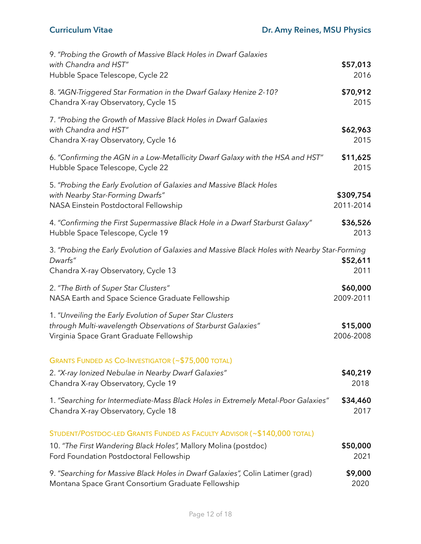| 9. "Probing the Growth of Massive Black Holes in Dwarf Galaxies<br>with Chandra and HST"                                                                             | \$57,013               |
|----------------------------------------------------------------------------------------------------------------------------------------------------------------------|------------------------|
| Hubble Space Telescope, Cycle 22                                                                                                                                     | 2016                   |
| 8. "AGN-Triggered Star Formation in the Dwarf Galaxy Henize 2-10?                                                                                                    | \$70,912               |
| Chandra X-ray Observatory, Cycle 15                                                                                                                                  | 2015                   |
| 7. "Probing the Growth of Massive Black Holes in Dwarf Galaxies<br>with Chandra and HST"<br>Chandra X-ray Observatory, Cycle 16                                      | \$62,963<br>2015       |
| 6. "Confirming the AGN in a Low-Metallicity Dwarf Galaxy with the HSA and HST"                                                                                       | \$11,625               |
| Hubble Space Telescope, Cycle 22                                                                                                                                     | 2015                   |
| 5. "Probing the Early Evolution of Galaxies and Massive Black Holes<br>with Nearby Star-Forming Dwarfs"<br>NASA Einstein Postdoctoral Fellowship                     | \$309,754<br>2011-2014 |
| 4. "Confirming the First Supermassive Black Hole in a Dwarf Starburst Galaxy"                                                                                        | \$36,526               |
| Hubble Space Telescope, Cycle 19                                                                                                                                     | 2013                   |
| 3. "Probing the Early Evolution of Galaxies and Massive Black Holes with Nearby Star-Forming<br>Dwarfs"<br>Chandra X-ray Observatory, Cycle 13                       | \$52,611<br>2011       |
| 2. "The Birth of Super Star Clusters"                                                                                                                                | \$60,000               |
| NASA Earth and Space Science Graduate Fellowship                                                                                                                     | 2009-2011              |
| 1. "Unveiling the Early Evolution of Super Star Clusters<br>through Multi-wavelength Observations of Starburst Galaxies"<br>Virginia Space Grant Graduate Fellowship | \$15,000<br>2006-2008  |
| <b>GRANTS FUNDED AS CO-INVESTIGATOR (~\$75,000 TOTAL)</b>                                                                                                            |                        |
| 2. "X-ray Ionized Nebulae in Nearby Dwarf Galaxies"                                                                                                                  | \$40,219               |
| Chandra X-ray Observatory, Cycle 19                                                                                                                                  | 2018                   |
| 1. "Searching for Intermediate-Mass Black Holes in Extremely Metal-Poor Galaxies"                                                                                    | \$34,460               |
| Chandra X-ray Observatory, Cycle 18                                                                                                                                  | 2017                   |
| STUDENT/POSTDOC-LED GRANTS FUNDED AS FACULTY ADVISOR (~\$140,000 TOTAL)                                                                                              |                        |
| 10. "The First Wandering Black Holes", Mallory Molina (postdoc)                                                                                                      | \$50,000               |
| Ford Foundation Postdoctoral Fellowship                                                                                                                              | 2021                   |
| 9. "Searching for Massive Black Holes in Dwarf Galaxies", Colin Latimer (grad)                                                                                       | \$9,000                |
| Montana Space Grant Consortium Graduate Fellowship                                                                                                                   | 2020                   |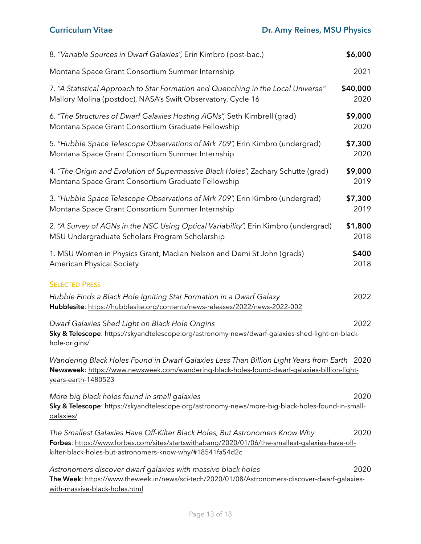| 8. "Variable Sources in Dwarf Galaxies", Erin Kimbro (post-bac.)                                                                                                                                                                            | \$6,000          |
|---------------------------------------------------------------------------------------------------------------------------------------------------------------------------------------------------------------------------------------------|------------------|
| Montana Space Grant Consortium Summer Internship                                                                                                                                                                                            | 2021             |
| 7. "A Statistical Approach to Star Formation and Quenching in the Local Universe"<br>Mallory Molina (postdoc), NASA's Swift Observatory, Cycle 16                                                                                           | \$40,000<br>2020 |
| 6. "The Structures of Dwarf Galaxies Hosting AGNs", Seth Kimbrell (grad)<br>Montana Space Grant Consortium Graduate Fellowship                                                                                                              | \$9,000<br>2020  |
| 5. "Hubble Space Telescope Observations of Mrk 709", Erin Kimbro (undergrad)<br>Montana Space Grant Consortium Summer Internship                                                                                                            | \$7,300<br>2020  |
| 4. "The Origin and Evolution of Supermassive Black Holes", Zachary Schutte (grad)<br>Montana Space Grant Consortium Graduate Fellowship                                                                                                     | \$9,000<br>2019  |
| 3. "Hubble Space Telescope Observations of Mrk 709", Erin Kimbro (undergrad)<br>Montana Space Grant Consortium Summer Internship                                                                                                            | \$7,300<br>2019  |
| 2. "A Survey of AGNs in the NSC Using Optical Variability", Erin Kimbro (undergrad)<br>MSU Undergraduate Scholars Program Scholarship                                                                                                       | \$1,800<br>2018  |
| 1. MSU Women in Physics Grant, Madian Nelson and Demi St John (grads)<br><b>American Physical Society</b>                                                                                                                                   | \$400<br>2018    |
| <b>SELECTED PRESS</b>                                                                                                                                                                                                                       |                  |
| Hubble Finds a Black Hole Igniting Star Formation in a Dwarf Galaxy<br>Hubblesite: https://hubblesite.org/contents/news-releases/2022/news-2022-002                                                                                         | 2022             |
| Dwarf Galaxies Shed Light on Black Hole Origins<br>Sky & Telescope: https://skyandtelescope.org/astronomy-news/dwarf-galaxies-shed-light-on-black-<br>hole-origins/                                                                         | 2022             |
| Wandering Black Holes Found in Dwarf Galaxies Less Than Billion Light Years from Earth   2020<br>Newsweek: https://www.newsweek.com/wandering-black-holes-found-dwarf-galaxies-billion-light-<br>years-earth-1480523                        |                  |
| More big black holes found in small galaxies<br>Sky & Telescope: https://skyandtelescope.org/astronomy-news/more-big-black-holes-found-in-small-<br>galaxies/                                                                               | 2020             |
| The Smallest Galaxies Have Off-Kilter Black Holes, But Astronomers Know Why<br>Forbes: https://www.forbes.com/sites/startswithabang/2020/01/06/the-smallest-galaxies-have-off-<br>kilter-black-holes-but-astronomers-know-why/#18541fa54d2c | 2020             |
| Astronomers discover dwarf galaxies with massive black holes<br>The Week: https://www.theweek.in/news/sci-tech/2020/01/08/Astronomers-discover-dwarf-galaxies-<br>with-massive-black-holes.html                                             | 2020             |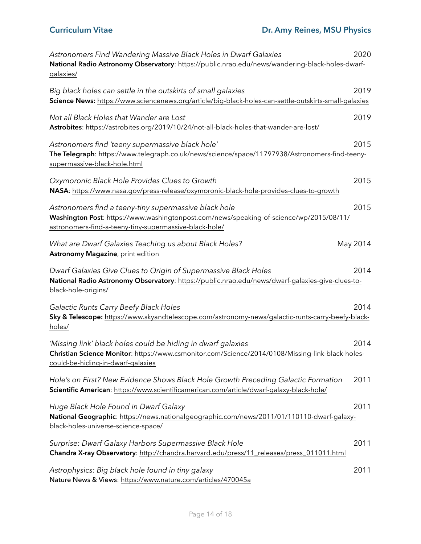| Astronomers Find Wandering Massive Black Holes in Dwarf Galaxies<br>National Radio Astronomy Observatory: https://public.nrao.edu/news/wandering-black-holes-dwarf-<br>galaxies/                           | 2020     |
|------------------------------------------------------------------------------------------------------------------------------------------------------------------------------------------------------------|----------|
| Big black holes can settle in the outskirts of small galaxies<br>Science News: https://www.sciencenews.org/article/big-black-holes-can-settle-outskirts-small-galaxies                                     | 2019     |
| Not all Black Holes that Wander are Lost<br>Astrobites: https://astrobites.org/2019/10/24/not-all-black-holes-that-wander-are-lost/                                                                        | 2019     |
| Astronomers find 'teeny supermassive black hole'<br>The Telegraph: https://www.telegraph.co.uk/news/science/space/11797938/Astronomers-find-teeny-<br>supermassive-black-hole.html                         | 2015     |
| Oxymoronic Black Hole Provides Clues to Growth<br>NASA: https://www.nasa.gov/press-release/oxymoronic-black-hole-provides-clues-to-growth                                                                  | 2015     |
| Astronomers find a teeny-tiny supermassive black hole<br>Washington Post: https://www.washingtonpost.com/news/speaking-of-science/wp/2015/08/11/<br>astronomers-find-a-teeny-tiny-supermassive-black-hole/ | 2015     |
| What are Dwarf Galaxies Teaching us about Black Holes?<br>Astronomy Magazine, print edition                                                                                                                | May 2014 |
| Dwarf Galaxies Give Clues to Origin of Supermassive Black Holes<br>National Radio Astronomy Observatory: https://public.nrao.edu/news/dwarf-galaxies-give-clues-to-<br>black-hole-origins/                 | 2014     |
| Galactic Runts Carry Beefy Black Holes<br>Sky & Telescope: https://www.skyandtelescope.com/astronomy-news/galactic-runts-carry-beefy-black-<br>holes/                                                      | 2014     |
| 'Missing link' black holes could be hiding in dwarf galaxies<br>Christian Science Monitor: https://www.csmonitor.com/Science/2014/0108/Missing-link-black-holes-<br>could-be-hiding-in-dwarf-galaxies      | 2014     |
| Hole's on First? New Evidence Shows Black Hole Growth Preceding Galactic Formation<br>Scientific American: https://www.scientificamerican.com/article/dwarf-galaxy-black-hole/                             | 2011     |
| Huge Black Hole Found in Dwarf Galaxy<br>National Geographic: https://news.nationalgeographic.com/news/2011/01/110110-dwarf-galaxy-<br>black-holes-universe-science-space/                                 | 2011     |
| Surprise: Dwarf Galaxy Harbors Supermassive Black Hole<br>Chandra X-ray Observatory: http://chandra.harvard.edu/press/11_releases/press_011011.html                                                        | 2011     |
| Astrophysics: Big black hole found in tiny galaxy<br>Nature News & Views: https://www.nature.com/articles/470045a                                                                                          | 2011     |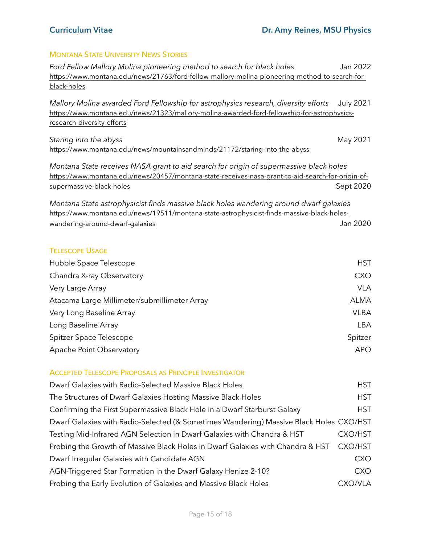# MONTANA STATE UNIVERSITY NEWS STORIES

| Ford Fellow Mallory Molina pioneering method to search for black holes                                                                                                                                                  | Jan 2022         |
|-------------------------------------------------------------------------------------------------------------------------------------------------------------------------------------------------------------------------|------------------|
| https://www.montana.edu/news/21763/ford-fellow-mallory-molina-pioneering-method-to-search-for-                                                                                                                          |                  |
| black-holes                                                                                                                                                                                                             |                  |
| Mallory Molina awarded Ford Fellowship for astrophysics research, diversity efforts<br>https://www.montana.edu/news/21323/mallory-molina-awarded-ford-fellowship-for-astrophysics-<br>research-diversity-efforts        | <b>July 2021</b> |
| Staring into the abyss                                                                                                                                                                                                  | May 2021         |
| https://www.montana.edu/news/mountainsandminds/21172/staring-into-the-abyss                                                                                                                                             |                  |
| Montana State receives NASA grant to aid search for origin of supermassive black holes<br>https://www.montana.edu/news/20457/montana-state-receives-nasa-grant-to-aid-search-for-origin-of-<br>supermassive-black-holes | Sept 2020        |
| Montana State astrophysicist finds massive black holes wandering around dwarf galaxies                                                                                                                                  |                  |
| https://www.montana.edu/news/19511/montana-state-astrophysicist-finds-massive-black-holes-                                                                                                                              |                  |
| wandering-around-dwarf-galaxies                                                                                                                                                                                         | Jan 2020         |
|                                                                                                                                                                                                                         |                  |
| <b>TELESCOPE USAGE</b>                                                                                                                                                                                                  |                  |
| Hubble Space Telescope                                                                                                                                                                                                  | <b>HST</b>       |
| Chandra X-ray Observatory                                                                                                                                                                                               | <b>CXO</b>       |
| Very Large Array                                                                                                                                                                                                        | <b>VLA</b>       |
| Atacama Large Millimeter/submillimeter Array                                                                                                                                                                            | <b>ALMA</b>      |
| Very Long Baseline Array                                                                                                                                                                                                | <b>VLBA</b>      |
| Long Baseline Array                                                                                                                                                                                                     | <b>LBA</b>       |
| Spitzer Space Telescope                                                                                                                                                                                                 | Spitzer          |
| Apache Point Observatory                                                                                                                                                                                                | <b>APO</b>       |
| <b>ACCEPTED TELESCOPE PROPOSALS AS PRINCIPLE INVESTIGATOR</b>                                                                                                                                                           |                  |

### ACCEPTED TELESCOPE PROPOSALS AS PRINCIPLE INVESTIGATOR

| Dwarf Galaxies with Radio-Selected Massive Black Holes                                 | <b>HST</b>     |
|----------------------------------------------------------------------------------------|----------------|
| The Structures of Dwarf Galaxies Hosting Massive Black Holes                           | <b>HST</b>     |
| Confirming the First Supermassive Black Hole in a Dwarf Starburst Galaxy               | <b>HST</b>     |
| Dwarf Galaxies with Radio-Selected (& Sometimes Wandering) Massive Black Holes CXO/HST |                |
| Testing Mid-Infrared AGN Selection in Dwarf Galaxies with Chandra & HST                | <b>CXO/HST</b> |
| Probing the Growth of Massive Black Holes in Dwarf Galaxies with Chandra & HST         | <b>CXO/HST</b> |
| Dwarf Irregular Galaxies with Candidate AGN                                            | <b>CXO</b>     |
| AGN-Triggered Star Formation in the Dwarf Galaxy Henize 2-10?                          | <b>CXO</b>     |
| Probing the Early Evolution of Galaxies and Massive Black Holes                        | CXO/VLA        |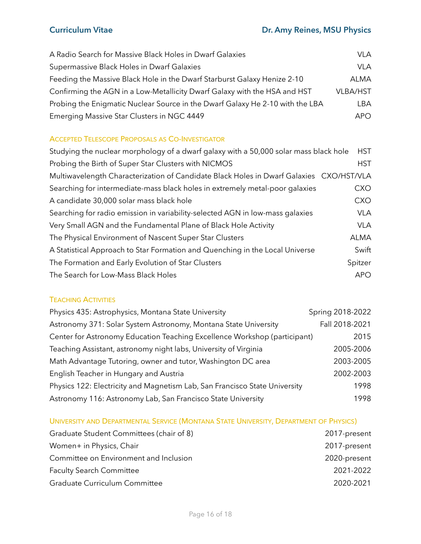| A Radio Search for Massive Black Holes in Dwarf Galaxies                      | <b>VLA</b>      |
|-------------------------------------------------------------------------------|-----------------|
| Supermassive Black Holes in Dwarf Galaxies                                    | <b>VLA</b>      |
| Feeding the Massive Black Hole in the Dwarf Starburst Galaxy Henize 2-10      | ALMA            |
| Confirming the AGN in a Low-Metallicity Dwarf Galaxy with the HSA and HST     | <b>VLBA/HST</b> |
| Probing the Enigmatic Nuclear Source in the Dwarf Galaxy He 2-10 with the LBA | I BA            |
| Emerging Massive Star Clusters in NGC 4449                                    | APO.            |

## ACCEPTED TELESCOPE PROPOSALS AS CO-INVESTIGATOR

| Studying the nuclear morphology of a dwarf galaxy with a 50,000 solar mass black hole   | <b>HST</b>  |
|-----------------------------------------------------------------------------------------|-------------|
| Probing the Birth of Super Star Clusters with NICMOS                                    | <b>HST</b>  |
| Multiwavelength Characterization of Candidate Black Holes in Dwarf Galaxies CXO/HST/VLA |             |
| Searching for intermediate-mass black holes in extremely metal-poor galaxies            | <b>CXO</b>  |
| A candidate 30,000 solar mass black hole                                                | <b>CXO</b>  |
| Searching for radio emission in variability-selected AGN in low-mass galaxies           | <b>VLA</b>  |
| Very Small AGN and the Fundamental Plane of Black Hole Activity                         | <b>VLA</b>  |
| The Physical Environment of Nascent Super Star Clusters                                 | <b>ALMA</b> |
| A Statistical Approach to Star Formation and Quenching in the Local Universe            | Swift       |
| The Formation and Early Evolution of Star Clusters                                      | Spitzer     |
| The Search for Low-Mass Black Holes                                                     | <b>APO</b>  |

## TEACHING ACTIVITIES

| Physics 435: Astrophysics, Montana State University                        | Spring 2018-2022 |
|----------------------------------------------------------------------------|------------------|
| Astronomy 371: Solar System Astronomy, Montana State University            | Fall 2018-2021   |
| Center for Astronomy Education Teaching Excellence Workshop (participant)  | 2015             |
| Teaching Assistant, astronomy night labs, University of Virginia           | 2005-2006        |
| Math Advantage Tutoring, owner and tutor, Washington DC area               | 2003-2005        |
| English Teacher in Hungary and Austria                                     | 2002-2003        |
| Physics 122: Electricity and Magnetism Lab, San Francisco State University | 1998             |
| Astronomy 116: Astronomy Lab, San Francisco State University               | 1998             |

# UNIVERSITY AND DEPARTMENTAL SERVICE (MONTANA STATE UNIVERSITY, DEPARTMENT OF PHYSICS)

| Graduate Student Committees (chair of 8) | 2017-present |
|------------------------------------------|--------------|
| Women+ in Physics, Chair                 | 2017-present |
| Committee on Environment and Inclusion   | 2020-present |
| <b>Faculty Search Committee</b>          | 2021-2022    |
| Graduate Curriculum Committee            | 2020-2021    |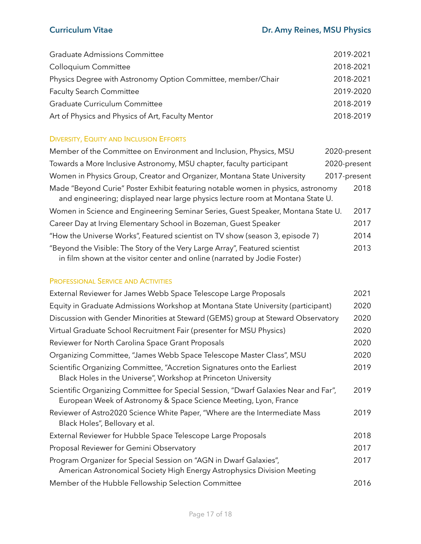| <b>Graduate Admissions Committee</b>                         | 2019-2021 |
|--------------------------------------------------------------|-----------|
| Colloquium Committee                                         | 2018-2021 |
| Physics Degree with Astronomy Option Committee, member/Chair | 2018-2021 |
| <b>Faculty Search Committee</b>                              | 2019-2020 |
| Graduate Curriculum Committee                                | 2018-2019 |
| Art of Physics and Physics of Art, Faculty Mentor            | 2018-2019 |

## DIVERSITY, EQUITY AND INCLUSION EFFORTS

| Member of the Committee on Environment and Inclusion, Physics, MSU                                                                                                 | 2020-present |
|--------------------------------------------------------------------------------------------------------------------------------------------------------------------|--------------|
| Towards a More Inclusive Astronomy, MSU chapter, faculty participant                                                                                               | 2020-present |
| Women in Physics Group, Creator and Organizer, Montana State University                                                                                            | 2017-present |
| Made "Beyond Curie" Poster Exhibit featuring notable women in physics, astronomy<br>and engineering; displayed near large physics lecture room at Montana State U. | 2018         |
| Women in Science and Engineering Seminar Series, Guest Speaker, Montana State U.                                                                                   | 2017         |
| Career Day at Irving Elementary School in Bozeman, Guest Speaker                                                                                                   | 2017         |
| "How the Universe Works", Featured scientist on TV show (season 3, episode 7)                                                                                      | 2014         |
| "Beyond the Visible: The Story of the Very Large Array", Featured scientist<br>in film shown at the visitor center and online (narrated by Jodie Foster)           | 2013         |

# PROFESSIONAL SERVICE AND ACTIVITIES

| External Reviewer for James Webb Space Telescope Large Proposals                                                                                        | 2021 |
|---------------------------------------------------------------------------------------------------------------------------------------------------------|------|
| Equity in Graduate Admissions Workshop at Montana State University (participant)                                                                        | 2020 |
| Discussion with Gender Minorities at Steward (GEMS) group at Steward Observatory                                                                        | 2020 |
| Virtual Graduate School Recruitment Fair (presenter for MSU Physics)                                                                                    | 2020 |
| Reviewer for North Carolina Space Grant Proposals                                                                                                       | 2020 |
| Organizing Committee, "James Webb Space Telescope Master Class", MSU                                                                                    | 2020 |
| Scientific Organizing Committee, "Accretion Signatures onto the Earliest<br>Black Holes in the Universe", Workshop at Princeton University              | 2019 |
| Scientific Organizing Committee for Special Session, "Dwarf Galaxies Near and Far",<br>European Week of Astronomy & Space Science Meeting, Lyon, France | 2019 |
| Reviewer of Astro2020 Science White Paper, "Where are the Intermediate Mass<br>Black Holes", Bellovary et al.                                           | 2019 |
| External Reviewer for Hubble Space Telescope Large Proposals                                                                                            | 2018 |
| Proposal Reviewer for Gemini Observatory                                                                                                                | 2017 |
| Program Organizer for Special Session on "AGN in Dwarf Galaxies",<br>American Astronomical Society High Energy Astrophysics Division Meeting            | 2017 |
| Member of the Hubble Fellowship Selection Committee                                                                                                     | 2016 |